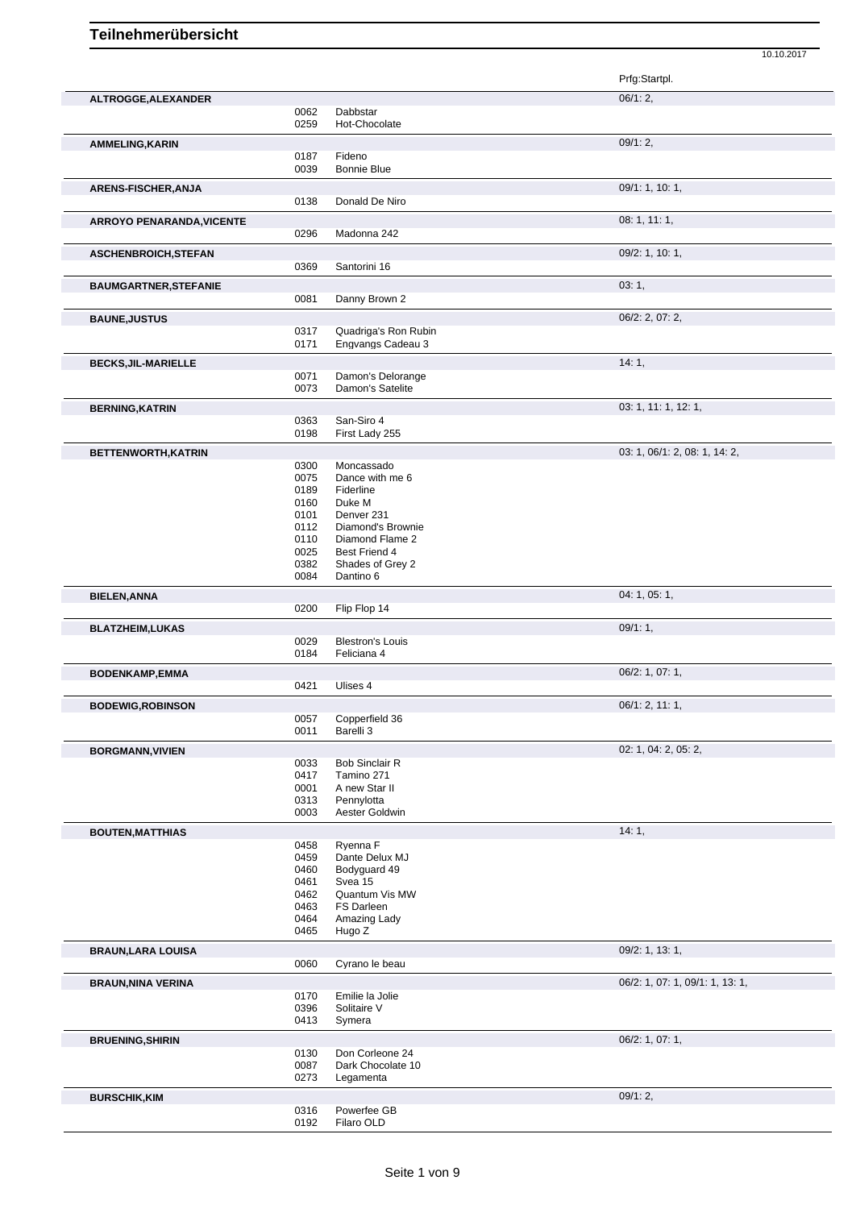Prfg:Startpl. **ALTROGGE,ALEXANDER** 06/1: 2, 0062 Dabbstar<br>0259 Hot-Choc Hot-Chocolate **AMMELING,KARIN** 09/1: 2, 0187 Fideno<br>0039 Bonnie Bonnie Blue **ARENS-FISCHER,ANJA** 0138 Donald De Niro 09/1: 1, 10: 1, 09/1: 1, 10: 1, 09/1: 1, 10: 1, Donald De Niro **ARROYO PENARANDA,VICENTE** 08: 1, 11: 1, 0296 Madonna 242 **ASCHENBROICH,STEFAN** 09/2: 1, 10: 1, 0369 Santorini 16 **BAUMGARTNER, STEFANIE DE LA CONSTITUTION CONSTITUTION CONSTITUTION CONSTITUTION CONSTITUTION CONSTITUTION CONSTITU** 0081 Danny Brown 2 **BAUNE, JUSTUS** 06/2: 2, 07: 2, 07: 2, 0317 Quadriga's Ron Rubin 0317 Quadriga's Ron Rubin<br>0171 Engvangs Cadeau 3 Engvangs Cadeau 3 **BECKS,JIL-MARIELLE** 14: 1, 0071 Damon's Delorange 0073 Damon's Satelite **BERNING,KATRIN** 03: 1, 11: 1, 12: 1, 0363 San-Siro 4 0198 First Lady 255 **BETTENWORTH,KATRIN** 03: 1, 06/1: 2, 08: 1, 14: 2, 0300 Moncassado 0075 Dance with me 6<br>0189 Fiderline 0189 Fiderline<br>0160 Duke M Duke M 0101 Denver 231<br>0112 Diamond's I 0112 Diamond's Brownie<br>0110 Diamond Flame 2 0110 Diamond Flame 2<br>0025 Best Friend 4 0025 Best Friend 4<br>0382 Shades of Gre 0382 Shades of Grey 2<br>0084 Dantino 6 Dantino 6 **BIELEN,ANNA** 04: 1, 05: 1, 05: 1, 05: 1, 05: 1, 05: 1, 05: 1, 05: 1, 05: 1, 05: 1, 05: 1, 05: 1, 05: 1, 05: 1, 05: 1, 05: 1, 05: 1, 05: 1, 05: 1, 05: 1, 05: 1, 05: 1, 05: 1, 05: 1, 05: 1, 05: 1, 05: 1, 05: 1, 05: 1, 05: 1 Flip Flop 14 **BLATZHEIM,LUKAS** 09/1: 1, 0029 Blestron's Louis **Department of the COVID-1** control of the COVID-1, 0029 Blestron's Louis 0029 Blestron's Louis<br>0184 Feliciana 4 Feliciana 4 **BODENKAMP, EMMA** 06/2: 1, 07: 1, 06/2: 1, 07: 1, 06/2: 1, 07: 1, 06/2: 1, 07: 1, 06/2: 1, 07: 1, 06/2: 1, 07: 1, 07: 1, 07: 1, 07: 1, 07: 1, 07: 1, 07: 1, 07: 1, 07: 1, 07: 1, 07: 1, 07: 1, 07: 1, 07: 1, 07: 1, 07: 1, 07: Ulises 4 **BODEWIG,ROBINSON** 067 0057 Copperfield 36 06/1: 2, 11: 1, Copperfield 36 0011 Barelli 3 **BORGMANN,VIVIEN** 02: 1, 04: 2, 05: 2, 0033 Bob Sinclair R 0417 Tamino 271<br>0001 A new Star A new Star II 0313 Pennylotta 0003 Aester Goldwin **BOUTEN, MATTHIAS** 14: 1, 0458 Ryenna F 0459 Dante Delux MJ 0460 Bodyguard 49<br>0461 Svea 15 0461 Svea 15<br>0462 Quantum 0462 Quantum Vis MW<br>0463 FS Darleen 0463 FS Darleen<br>0464 Amazing La Amazing Lady 0465 Hugo Z **BRAUN,LARA LOUISA** 09/2: 1, 13: 1, 0060 Cyrano le beau **BRAUN,NINA VERINA DERINA DERINA BRAUN,NINA VERINA DERINA COMPONENTIAL COMPONENTIAL COMPONENTIAL CONTRACT OF CONTRACT CONTRACT OF CONTRACT OF CONTRACT OF CONTRACT OF CONTRACT OF CONTRACT OF CONTRACT OF CONTRACT OF** 0170 Emilie la Jolie<br>0396 Solitaire V 0396 Solitaire V<br>0413 Symera Symera **BRUENING, SHIRIN** 06/2: 1, 07: 1, 0130 Don Corleone 24<br>0087 Dark Chocolate 1 0087 Dark Chocolate 10<br>0273 Legamenta Legamenta **BURSCHIK,KIM** 09/1: 2,

10.10.2017

0316 Powerfee GB 0192 Filaro OLD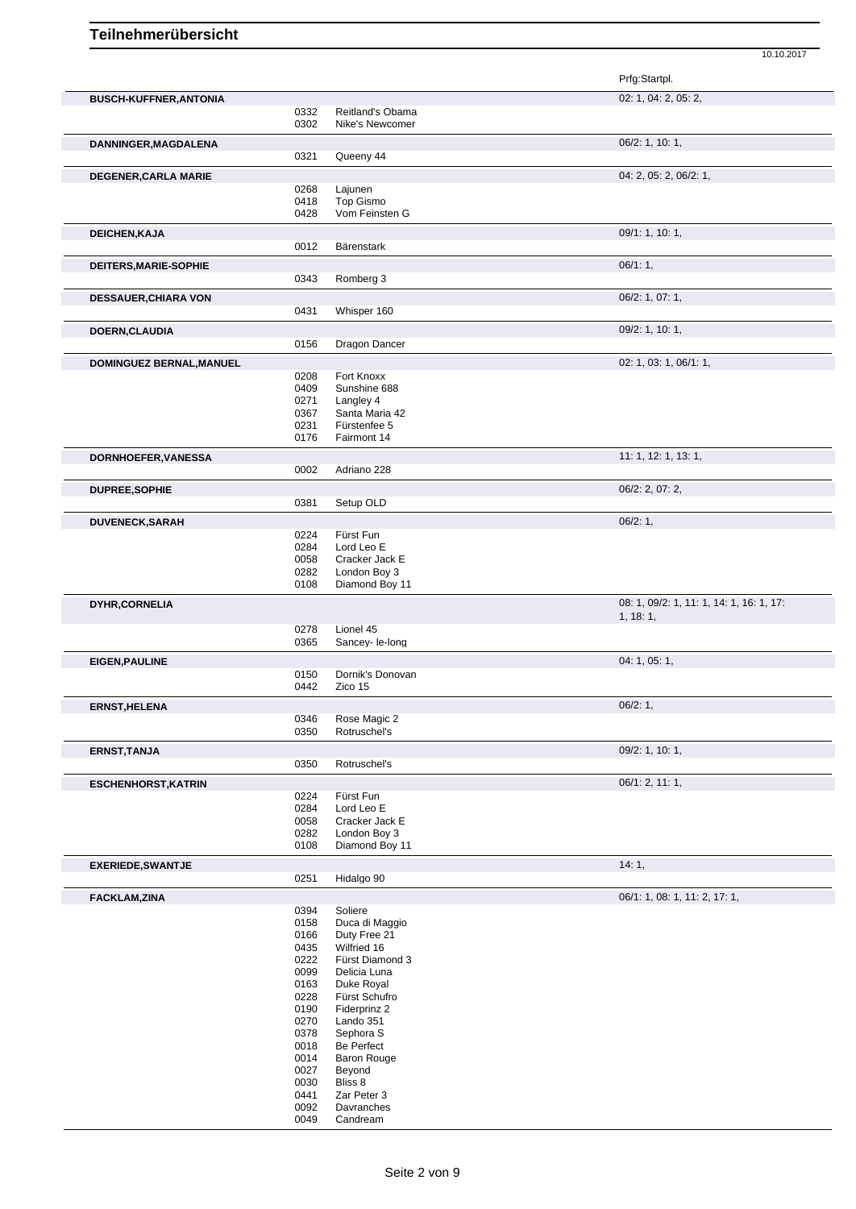Prfg:Startpl. **BUSCH-KUFFNER,ANTONIA** 02: 1, 04: 2, 05: 2, 0332 Reitland's Obama<br>0302 Nike's Newcomer Nike's Newcomer **DANNINGER,MAGDALENA** 06/2: 1, 10: 1, 0321 Queeny 44 **DEGENER, CARLA MARIE** 0268 Lajunen 0268 Lajunen 0268 Det al. 2, 05: 2, 06/2: 1, 0268 Lajunen<br>0418 Top Gisr 0418 Top Gismo<br>0428 Vom Feinst Vom Feinsten G **DEICHEN,KAJA** 09/1: 1, 10: 1, 0012 Bärenstark **DEITERS, MARIE-SOPHIE** 0343 Romberg 3 06/1: 1, 0343 Romberg 3 Romberg 3 **DESSAUER,CHIARA VON** 06/2: 1, 07: 1, Whisper 160 **DOERN,CLAUDIA** 09/2: 1, 10: 1, 09/2: 1, 10: 1, 09/2: 1, 10: 1, 09/2: 1, 10: 1, 09/2: 1, 10: 1, 09/2: 1, 10: 1, Dragon Dancer **DOMINGUEZ BERNAL,MANUEL** 02: 1, 03: 1, 06/1: 1, 0208 Fort Knoxx 0409 Sunshine 688<br>0271 Langley 4 0271 Langley 4<br>0367 Santa Mar Santa Maria 42 0231 Fürstenfee 5 0176 Fairmont 14 **DORNHOEFER, VANESSA** 11: 1, 12: 1, 13: 1, 0002 Adriano 228 **DUPREE,SOPHIE** 06/2: 2, 07: 2, 0381 Setup OLD **DUVENECK,SARAH** 06/2: 1,<br>06/2: 1,<br>0224 Fürst Fun Fürst Fun 0284 Lord Leo E<br>0058 Cracker Ja 0058 Cracker Jack E<br>0282 London Boy 3 0282 London Boy 3<br>0108 Diamond Boy Diamond Boy 11 **DYHR,CORNELIA** 08: 1, 09/2: 1, 11: 1, 14: 1, 16: 1, 17: 1, 18: 1, 0278 Lionel 45<br>0365 Sancey-1 Sancey- le-long **EIGEN, PAULINE** 04: 1, 05: 1, 05: 1, 05: 1, 05: 1, 05: 1, 05: 1, 05: 1, 05: 1, 05: 1, 05: 1, 05: 1, 05: 1, 05: 1, 0150 Dornik's Donovan<br>0442 Zico 15 Zico 15 **ERNST,HELENA** 06/2: 1, 0346 Rose Magic 2 0350 Rotruschel's **ERNST,TANJA** 09/2: 1, 10: 1, 0350 Rotruschel's **ESCHENHORST,KATRIN** 06/1: 2, 11: 1, 0224 Fürst Fun 0284 Lord Leo E 0058 Cracker Jack E<br>0282 London Boy 3 0282 London Boy 3<br>0108 Diamond Boy Diamond Boy 11 **EXERIEDE, SWANTJE** 14: 1, 0251 Hidalgo 90 Hidalgo 90 **FACKLAM,ZINA** 06/1: 1, 08: 1, 11: 2, 17: 1, 08: 1, 11: 2, 17: 1, 06/1: 1, 08: 1, 11: 2, 17: 1, 0394 Soliere<br>0158 Duca d 0158 Duca di Maggio<br>0166 Duty Free 21 0166 Duty Free 21<br>0435 Wilfried 16 0435 Wilfried 16<br>0222 Fürst Diam 0222 Fürst Diamond 3<br>0099 Delicia Luna 0099 Delicia Luna<br>0163 Duke Royal 0163 Duke Royal<br>0228 Fürst Schuft Fürst Schufro 0190 Fiderprinz 2<br>0270 Lando 351 Lando 351 0378 Sephora S 0018 Be Perfect 0014 Baron Rouge 0027 Beyond 0030 Bliss 8<br>0441 Zar Pet

10.10.2017

0441 Zar Peter 3<br>0092 Davranches Davranches 0049 Candream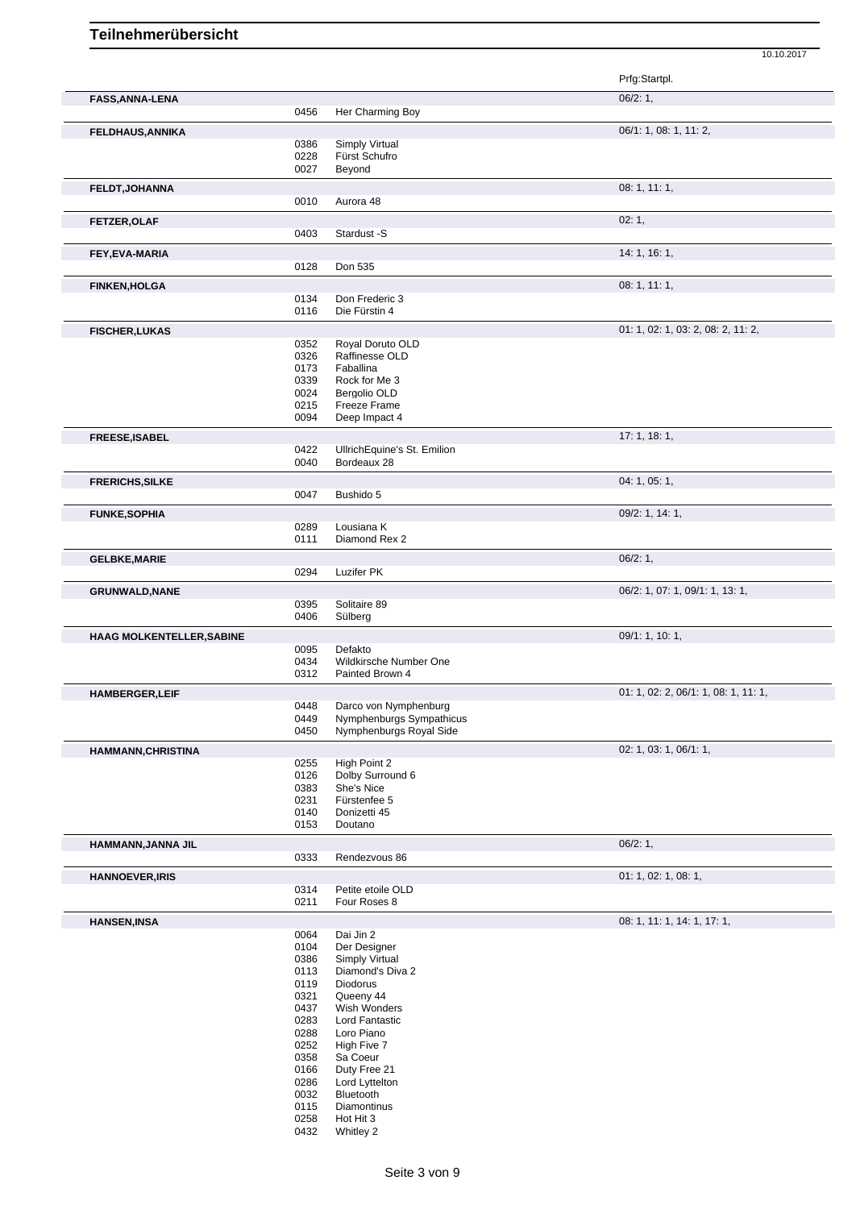Prfg:Startpl. **FASS,ANNA-LENA** 06/2: 1, 0456 Her Charming Boy **FELDHAUS,ANNIKA** 06/1: 1, 08: 1, 11: 2, 0386 Simply Virtual<br>0228 Fürst Schufro 0228 Fürst Schufro<br>0027 Beyond **Beyond FELDT, JOHANNA** 08: 1, 11: 1, 0010 Aurora 48 Aurora 48 **FETZER, OLAF** 02: 1, 0403 Stardust -S **FEY,EVA-MARIA** 14: 1, 16: 1, 0128 Don 535 **FINKEN, HOLGA** 08: 1, 11: 1, 0134 Don Frederic 3<br>0116 Die Fürstin 4 Die Fürstin 4 **FISCHER,LUKAS** 01: 1, 02: 1, 03: 2, 08: 2, 11: 2, 08: 2, 11: 2, 08: 2, 11: 2, 08: 2, 11: 2, 09: 2, 08: 2, 11: 2, 0352 Royal Doruto OLD<br>0326 Raffinesse OLD 0326 Raffinesse OLD<br>0173 Faballina 0173 Faballina<br>0339 Rock for I 0339 Rock for Me 3<br>0024 Bergolio OLD Bergolio OLD 0215 Freeze Frame 0094 Deep Impact 4 **FREESE,ISABEL** 17: 1, 18: 1, 0422 UllrichEquine's St. Emilion 0040 Bordeaux 28 **FRERICHS, SILKE** 04: 1, 05: 1, 0047 Bushido 5 **FUNKE,SOPHIA** 09/2: 1, 14: 1, 0289 Lousiana K<br>0111 Diamond Re Diamond Rex 2 **GELBKE,MARIE** 0294 Luzifer PK 0294 Luzifer PK **Luzifer PK** GRUNWALD, NANE **CRUNWALD, NANE** 0395 Solitaire 89 Solitaire 89 Solitaire 89 COMENTAGES 1, 07: 1, 09/1: 1, 13: 1, 0395 Solitaire 89<br>0406 Sülberg Sülberg **HAAG MOLKENTELLER,SABINE CONSUMING THE CONSUMING THE CONSUMING THE CONSUMING THE CONSUMING THE CONSUMING THE CONSUMING THE CONSUMING THE CONSUMING THE CONSUMING THE CONSUMING THE CONSUMING THE CONSUMING THE CONSUMING TH** 0095 Defakto<br>0434 Wildkirs 0434 Wildkirsche Number One<br>0312 Painted Brown 4 Painted Brown 4 **HAMBERGER, LEIF** 01: 1, 02: 2, 06/1: 1, 08: 1, 11: 1, 08: 1, 11: 1, 08: 1, 11: 1, 08: 1, 11: 1, 08: 1, 11: 1, 0448 Darco von Nymphenburg<br>0449 Nymphenburgs Sympathi 0449 Nymphenburgs Sympathicus<br>0450 Nymphenburgs Royal Side Nymphenburgs Royal Side **HAMMANN,CHRISTINA** 02: 1, 03: 1, 06/1: 1, 0255 High Point 2<br>0126 Dolby Surrou 0126 Dolby Surround 6<br>0383 She's Nice She's Nice 0231 Fürstenfee 5 0140 Donizetti 45 0153 Doutano **HAMMANN,JANNA JIL** 06/2: 1, 0333 Rendezvous 86 **HANNOEVER, IRIS** 0314 Petite etoile OLD 01: 1, 02: 1, 08: 1, 0314 Petite etoile OLD<br>0211 Four Roses 8 Four Roses 8 **HANSEN,INSA** 08: 1, 11: 1, 14: 1, 17: 1, 0064 Dai Jin 2<br>0104 Der Desig 0104 Der Designer<br>0386 Simply Virtual 0386 Simply Virtual<br>0113 Diamond's Div 0113 Diamond's Diva 2<br>0119 Diodorus 0119 Diodorus<br>0321 Queeny 4 0321 Queeny 44<br>0437 Wish Wonc 0437 Wish Wonders<br>0283 Lord Fantastic 0283 Lord Fantastic<br>0288 Loro Piano 0288 Loro Piano<br>0252 High Five 7 0252 High Five 7<br>0358 Sa Coeur Sa Coeur

10.10.2017

0166 Duty Free 21<br>0286 Lord Lytteltor 0286 Lord Lyttelton<br>0032 Bluetooth

**Bluetooth** 

- 0115 Diamontinus
- 0258 Hot Hit 3
- 0432 Whitley 2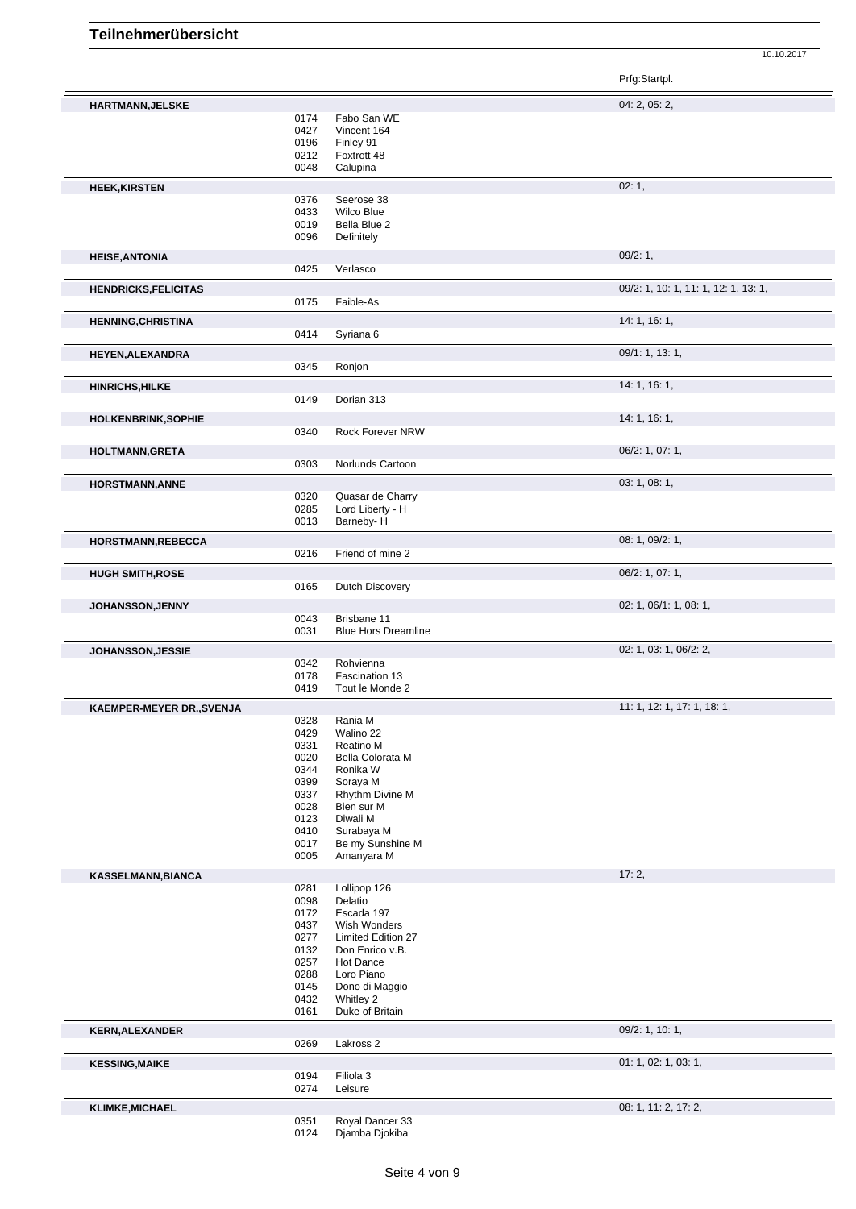10.10.2017

|                                  |              |                                           | Prfg:Startpl.                        |
|----------------------------------|--------------|-------------------------------------------|--------------------------------------|
| HARTMANN, JELSKE                 |              |                                           | 04: 2, 05: 2,                        |
|                                  | 0174         | Fabo San WE                               |                                      |
|                                  | 0427         | Vincent 164                               |                                      |
|                                  | 0196         | Finley 91                                 |                                      |
|                                  | 0212         | Foxtrott 48                               |                                      |
|                                  | 0048         | Calupina                                  |                                      |
| <b>HEEK, KIRSTEN</b>             |              |                                           | 02:1,                                |
|                                  | 0376         | Seerose 38                                |                                      |
|                                  | 0433         | Wilco Blue                                |                                      |
|                                  | 0019         | Bella Blue 2                              |                                      |
|                                  | 0096         | Definitely                                |                                      |
| <b>HEISE, ANTONIA</b>            |              |                                           | 09/2: 1,                             |
|                                  | 0425         | Verlasco                                  |                                      |
| <b>HENDRICKS, FELICITAS</b>      |              |                                           | 09/2: 1, 10: 1, 11: 1, 12: 1, 13: 1, |
|                                  | 0175         | Faible-As                                 |                                      |
|                                  |              |                                           |                                      |
| <b>HENNING, CHRISTINA</b>        |              |                                           | 14: 1, 16: 1,                        |
|                                  | 0414         | Syriana 6                                 |                                      |
| <b>HEYEN, ALEXANDRA</b>          |              |                                           | 09/1: 1, 13: 1,                      |
|                                  | 0345         | Ronjon                                    |                                      |
| <b>HINRICHS, HILKE</b>           |              |                                           | 14: 1, 16: 1,                        |
|                                  | 0149         | Dorian 313                                |                                      |
| HOLKENBRINK, SOPHIE              |              |                                           | 14: 1, 16: 1,                        |
|                                  | 0340         | Rock Forever NRW                          |                                      |
|                                  |              |                                           |                                      |
| <b>HOLTMANN, GRETA</b>           |              |                                           | 06/2: 1, 07: 1,                      |
|                                  | 0303         | Norlunds Cartoon                          |                                      |
| <b>HORSTMANN, ANNE</b>           |              |                                           | 03: 1, 08: 1,                        |
|                                  | 0320         | Quasar de Charry                          |                                      |
|                                  | 0285         | Lord Liberty - H                          |                                      |
|                                  | 0013         | Barneby-H                                 |                                      |
| HORSTMANN, REBECCA               |              |                                           | 08: 1, 09/2: 1,                      |
|                                  | 0216         | Friend of mine 2                          |                                      |
|                                  |              |                                           | 06/2: 1, 07: 1,                      |
| <b>HUGH SMITH, ROSE</b>          | 0165         | Dutch Discovery                           |                                      |
|                                  |              |                                           |                                      |
| <b>JOHANSSON, JENNY</b>          |              |                                           | 02: 1, 06/1: 1, 08: 1,               |
|                                  | 0043<br>0031 | Brisbane 11<br><b>Blue Hors Dreamline</b> |                                      |
|                                  |              |                                           |                                      |
| <b>JOHANSSON, JESSIE</b>         |              |                                           | 02: 1, 03: 1, 06/2: 2,               |
|                                  | 0342         | Rohvienna                                 |                                      |
|                                  | 0178<br>0419 | Fascination 13<br>Tout le Monde 2         |                                      |
|                                  |              |                                           |                                      |
| <b>KAEMPER-MEYER DR., SVENJA</b> |              |                                           | 11: 1, 12: 1, 17: 1, 18: 1,          |
|                                  | 0328         | Rania M                                   |                                      |
|                                  | 0429         | Walino 22                                 |                                      |
|                                  | 0331         | Reatino M                                 |                                      |
|                                  | 0020         | Bella Colorata M                          |                                      |
|                                  | 0344<br>0399 | Ronika W<br>Soraya M                      |                                      |
|                                  | 0337         | Rhythm Divine M                           |                                      |
|                                  | 0028         | Bien sur M                                |                                      |
|                                  | 0123         | Diwali M                                  |                                      |
|                                  | 0410         | Surabaya M                                |                                      |
|                                  | 0017         | Be my Sunshine M                          |                                      |
|                                  | 0005         | Amanyara M                                |                                      |
| <b>KASSELMANN, BIANCA</b>        |              |                                           | 17:2,                                |
|                                  | 0281         | Lollipop 126                              |                                      |
|                                  | 0098         | Delatio                                   |                                      |
|                                  | 0172         | Escada 197                                |                                      |
|                                  | 0437         | Wish Wonders                              |                                      |
|                                  | 0277         | <b>Limited Edition 27</b>                 |                                      |
|                                  | 0132         | Don Enrico v.B.                           |                                      |
|                                  | 0257         | Hot Dance                                 |                                      |
|                                  | 0288<br>0145 | Loro Piano<br>Dono di Maggio              |                                      |
|                                  | 0432         | Whitley 2                                 |                                      |
|                                  | 0161         | Duke of Britain                           |                                      |
|                                  |              |                                           |                                      |
| <b>KERN, ALEXANDER</b>           | 0269         | Lakross 2                                 | 09/2: 1, 10: 1,                      |
|                                  |              |                                           |                                      |
| <b>KESSING, MAIKE</b>            |              |                                           | 01: 1, 02: 1, 03: 1,                 |
|                                  | 0194         | Filiola 3                                 |                                      |
|                                  | 0274         | Leisure                                   |                                      |
| <b>KLIMKE, MICHAEL</b>           |              |                                           | 08: 1, 11: 2, 17: 2,                 |
|                                  | 0351         | Royal Dancer 33                           |                                      |
|                                  | 0124         | Djamba Djokiba                            |                                      |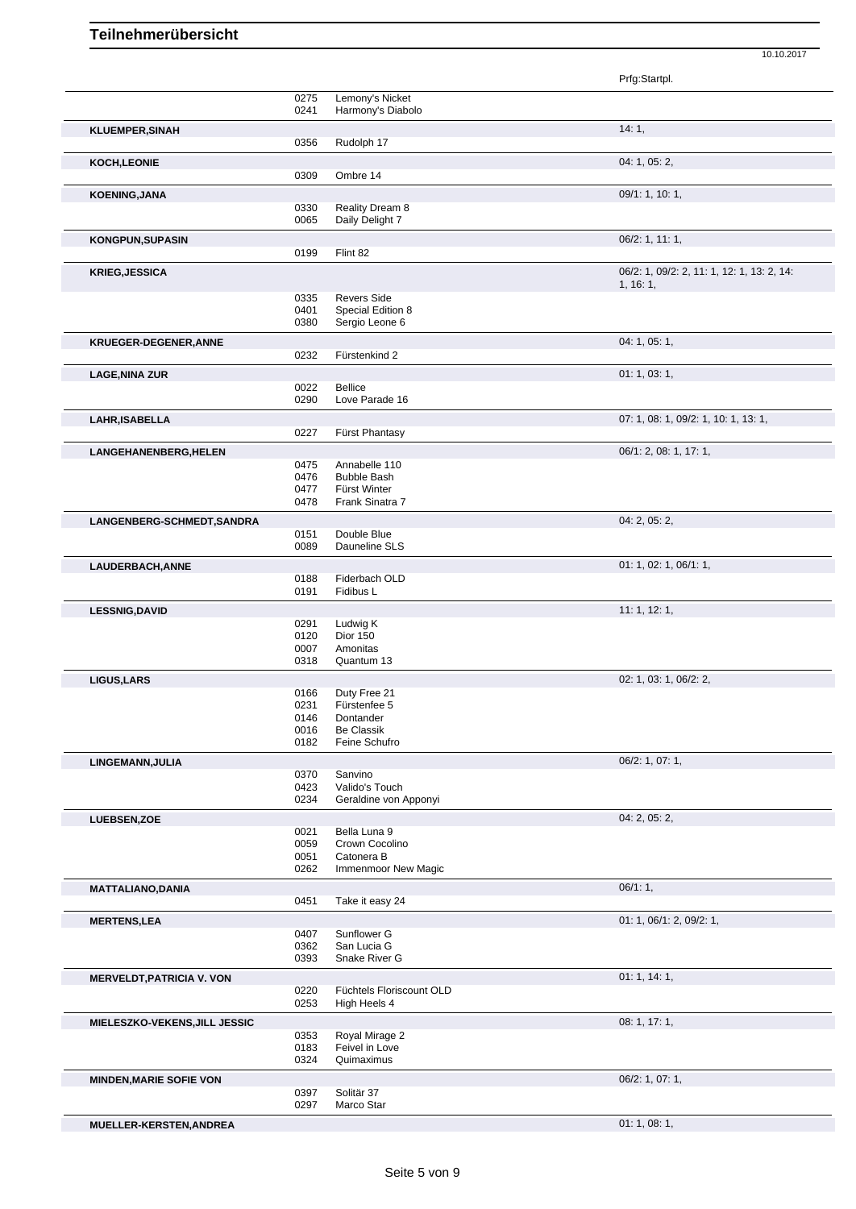10.10.2017

|                                  |              |                                    | Prfg:Startpl.                                          |
|----------------------------------|--------------|------------------------------------|--------------------------------------------------------|
|                                  | 0275         | Lemony's Nicket                    |                                                        |
|                                  | 0241         | Harmony's Diabolo                  |                                                        |
| <b>KLUEMPER, SINAH</b>           | 0356         | Rudolph 17                         | 14:1,                                                  |
| <b>KOCH,LEONIE</b>               |              |                                    | 04: 1, 05: 2,                                          |
|                                  | 0309         | Ombre 14                           |                                                        |
| <b>KOENING, JANA</b>             |              |                                    | 09/1: 1, 10: 1,                                        |
|                                  | 0330         | Reality Dream 8                    |                                                        |
|                                  | 0065         | Daily Delight 7                    |                                                        |
| <b>KONGPUN, SUPASIN</b>          | 0199         | Flint 82                           | $06/2$ : 1, 11: 1,                                     |
| <b>KRIEG, JESSICA</b>            |              |                                    | 06/2: 1, 09/2: 2, 11: 1, 12: 1, 13: 2, 14:<br>1, 16:1, |
|                                  | 0335         | <b>Revers Side</b>                 |                                                        |
|                                  | 0401         | Special Edition 8                  |                                                        |
|                                  | 0380         | Sergio Leone 6                     |                                                        |
| <b>KRUEGER-DEGENER, ANNE</b>     |              |                                    | 04: 1, 05: 1,                                          |
|                                  | 0232         | Fürstenkind 2                      |                                                        |
| <b>LAGE, NINA ZUR</b>            |              |                                    | 01: 1, 03: 1,                                          |
|                                  | 0022         | <b>Bellice</b>                     |                                                        |
|                                  | 0290         | Love Parade 16                     |                                                        |
| LAHR, ISABELLA                   |              |                                    | 07: 1, 08: 1, 09/2: 1, 10: 1, 13: 1,                   |
|                                  | 0227         | Fürst Phantasy                     |                                                        |
| LANGEHANENBERG, HELEN            |              |                                    | 06/1: 2, 08: 1, 17: 1,                                 |
|                                  | 0475         | Annabelle 110                      |                                                        |
|                                  | 0476<br>0477 | <b>Bubble Bash</b><br>Fürst Winter |                                                        |
|                                  | 0478         | Frank Sinatra 7                    |                                                        |
| LANGENBERG-SCHMEDT, SANDRA       |              |                                    | 04: 2, 05: 2,                                          |
|                                  | 0151         | Double Blue                        |                                                        |
|                                  | 0089         | Dauneline SLS                      |                                                        |
| LAUDERBACH, ANNE                 |              |                                    | 01: 1, 02: 1, 06/1: 1,                                 |
|                                  | 0188         | Fiderbach OLD                      |                                                        |
|                                  | 0191         | Fidibus L                          |                                                        |
| <b>LESSNIG, DAVID</b>            |              |                                    | 11:1, 12:1,                                            |
|                                  | 0291         | Ludwig K                           |                                                        |
|                                  | 0120         | Dior 150                           |                                                        |
|                                  | 0007<br>0318 | Amonitas<br>Quantum 13             |                                                        |
|                                  |              |                                    |                                                        |
| LIGUS, LARS                      | 0166         | Duty Free 21                       | 02: 1, 03: 1, 06/2: 2,                                 |
|                                  | 0231         | Fürstenfee 5                       |                                                        |
|                                  | 0146         | Dontander                          |                                                        |
|                                  | 0016         | Be Classik                         |                                                        |
|                                  | 0182         | Feine Schufro                      |                                                        |
| LINGEMANN, JULIA                 |              |                                    | 06/2: 1, 07: 1,                                        |
|                                  | 0370<br>0423 | Sanvino<br>Valido's Touch          |                                                        |
|                                  | 0234         | Geraldine von Apponyi              |                                                        |
| LUEBSEN, ZOE                     |              |                                    | 04: 2, 05: 2,                                          |
|                                  | 0021         | Bella Luna 9                       |                                                        |
|                                  | 0059         | Crown Cocolino                     |                                                        |
|                                  | 0051         | Catonera B                         |                                                        |
|                                  | 0262         | Immenmoor New Magic                |                                                        |
| <b>MATTALIANO, DANIA</b>         |              |                                    | 06/1:1,                                                |
|                                  | 0451         | Take it easy 24                    |                                                        |
| <b>MERTENS, LEA</b>              |              |                                    | 01: 1, 06/1: 2, 09/2: 1,                               |
|                                  | 0407         | Sunflower G<br>San Lucia G         |                                                        |
|                                  | 0362<br>0393 | Snake River G                      |                                                        |
|                                  |              |                                    | 01: 1, 14: 1,                                          |
| <b>MERVELDT, PATRICIA V. VON</b> | 0220         | Füchtels Floriscount OLD           |                                                        |
|                                  | 0253         | High Heels 4                       |                                                        |
| MIELESZKO-VEKENS, JILL JESSIC    |              |                                    | 08: 1, 17: 1,                                          |
|                                  | 0353         | Royal Mirage 2                     |                                                        |
|                                  | 0183         | Feivel in Love                     |                                                        |
|                                  | 0324         | Quimaximus                         |                                                        |
| <b>MINDEN, MARIE SOFIE VON</b>   |              |                                    | 06/2: 1, 07: 1,                                        |
|                                  | 0397         | Solitär 37                         |                                                        |
|                                  | 0297         | Marco Star                         |                                                        |
| MUELLER-KERSTEN, ANDREA          |              |                                    | 01:1,08:1,                                             |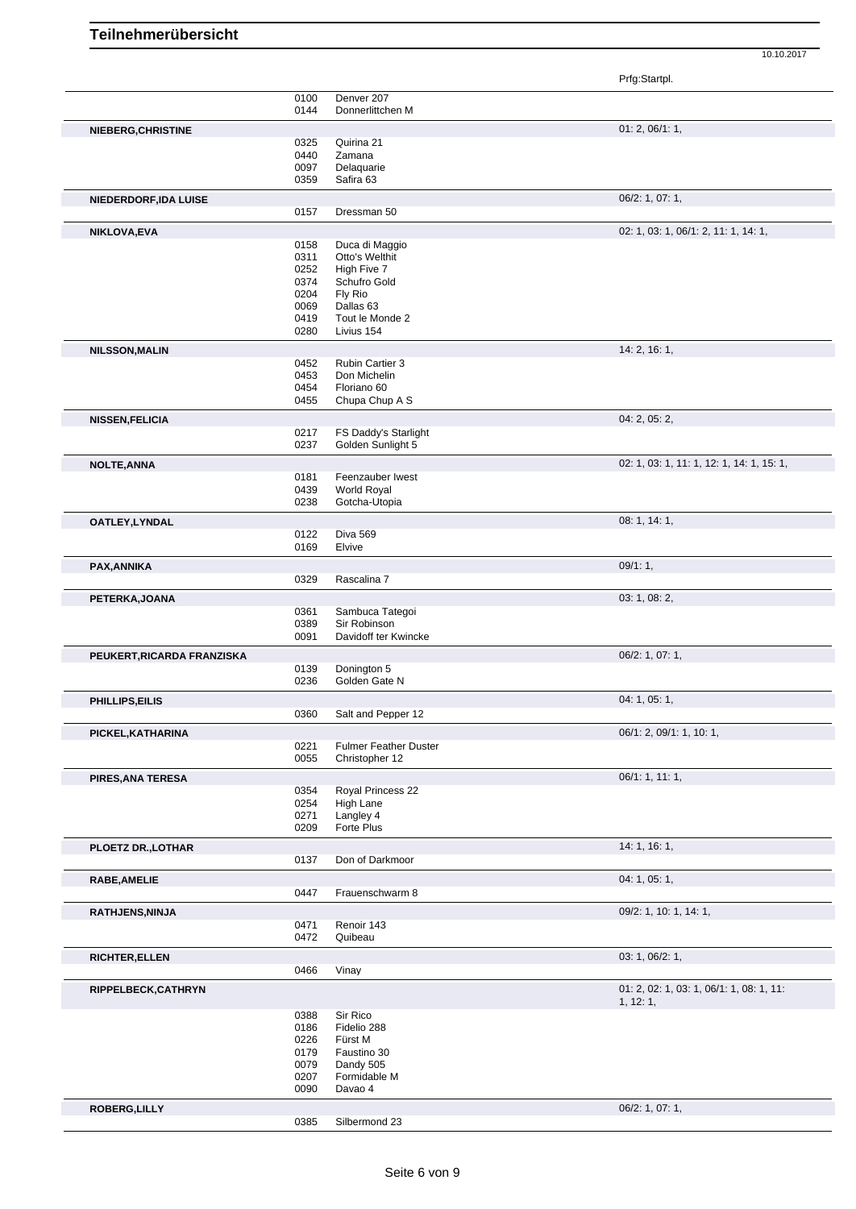10.10.2017

|  |  | Prfa:Startpl |  |
|--|--|--------------|--|
|  |  |              |  |
|  |  |              |  |

|                            |      |                              | Prfg:Startpl.                                         |
|----------------------------|------|------------------------------|-------------------------------------------------------|
|                            | 0100 | Denver 207                   |                                                       |
|                            | 0144 | Donnerlittchen M             |                                                       |
| NIEBERG, CHRISTINE         |      |                              | 01: 2, 06/1: 1,                                       |
|                            | 0325 | Quirina 21                   |                                                       |
|                            | 0440 | Zamana                       |                                                       |
|                            | 0097 | Delaquarie                   |                                                       |
|                            | 0359 | Safira 63                    |                                                       |
| NIEDERDORF, IDA LUISE      |      |                              | 06/2: 1, 07: 1,                                       |
|                            | 0157 | Dressman 50                  |                                                       |
| NIKLOVA, EVA               |      |                              | 02: 1, 03: 1, 06/1: 2, 11: 1, 14: 1,                  |
|                            | 0158 | Duca di Maggio               |                                                       |
|                            | 0311 | Otto's Welthit               |                                                       |
|                            | 0252 | High Five 7                  |                                                       |
|                            | 0374 | Schufro Gold                 |                                                       |
|                            | 0204 | Fly Rio                      |                                                       |
|                            | 0069 | Dallas 63                    |                                                       |
|                            | 0419 | Tout le Monde 2              |                                                       |
|                            | 0280 | Livius 154                   |                                                       |
| <b>NILSSON, MALIN</b>      |      |                              | 14: 2, 16: 1,                                         |
|                            | 0452 | Rubin Cartier 3              |                                                       |
|                            | 0453 | Don Michelin                 |                                                       |
|                            | 0454 | Floriano 60                  |                                                       |
|                            | 0455 | Chupa Chup A S               |                                                       |
| <b>NISSEN, FELICIA</b>     |      |                              | 04: 2, 05: 2,                                         |
|                            | 0217 | FS Daddy's Starlight         |                                                       |
|                            | 0237 | Golden Sunlight 5            |                                                       |
| <b>NOLTE, ANNA</b>         |      |                              | 02: 1, 03: 1, 11: 1, 12: 1, 14: 1, 15: 1,             |
|                            | 0181 | Feenzauber Iwest             |                                                       |
|                            | 0439 | <b>World Royal</b>           |                                                       |
|                            | 0238 | Gotcha-Utopia                |                                                       |
| OATLEY, LYNDAL             |      |                              | 08: 1, 14: 1,                                         |
|                            | 0122 | Diva 569                     |                                                       |
|                            | 0169 | Elvive                       |                                                       |
| PAX, ANNIKA                |      |                              | 09/1:1,                                               |
|                            | 0329 | Rascalina 7                  |                                                       |
| PETERKA, JOANA             |      |                              | 03: 1, 08: 2,                                         |
|                            | 0361 | Sambuca Tategoi              |                                                       |
|                            | 0389 | Sir Robinson                 |                                                       |
|                            | 0091 | Davidoff ter Kwincke         |                                                       |
| PEUKERT, RICARDA FRANZISKA |      |                              | 06/2: 1, 07: 1,                                       |
|                            | 0139 | Donington 5                  |                                                       |
|                            | 0236 | Golden Gate N                |                                                       |
| PHILLIPS, EILIS            |      |                              | 04: 1, 05: 1,                                         |
|                            | 0360 | Salt and Pepper 12           |                                                       |
|                            |      |                              | 06/1: 2, 09/1: 1, 10: 1,                              |
| PICKEL, KATHARINA          | 0221 | <b>Fulmer Feather Duster</b> |                                                       |
|                            | 0055 | Christopher 12               |                                                       |
|                            |      |                              | 06/1: 1, 11: 1,                                       |
| PIRES, ANA TERESA          | 0354 | Royal Princess 22            |                                                       |
|                            | 0254 | High Lane                    |                                                       |
|                            | 0271 | Langley 4                    |                                                       |
|                            | 0209 | Forte Plus                   |                                                       |
| PLOETZ DR., LOTHAR         |      |                              | 14: 1, 16: 1,                                         |
|                            | 0137 | Don of Darkmoor              |                                                       |
| <b>RABE, AMELIE</b>        |      |                              | 04: 1, 05: 1,                                         |
|                            | 0447 | Frauenschwarm 8              |                                                       |
|                            |      |                              | 09/2: 1, 10: 1, 14: 1,                                |
| RATHJENS, NINJA            | 0471 | Renoir 143                   |                                                       |
|                            | 0472 | Quibeau                      |                                                       |
|                            |      |                              | 03: 1, 06/2: 1,                                       |
| <b>RICHTER, ELLEN</b>      | 0466 | Vinay                        |                                                       |
|                            |      |                              |                                                       |
| RIPPELBECK, CATHRYN        |      |                              | 01: 2, 02: 1, 03: 1, 06/1: 1, 08: 1, 11:<br>1, 12: 1, |
|                            | 0388 | Sir Rico                     |                                                       |
|                            | 0186 | Fidelio 288                  |                                                       |
|                            | 0226 | Fürst M                      |                                                       |
|                            | 0179 | Faustino 30                  |                                                       |
|                            | 0079 | Dandy 505                    |                                                       |
|                            | 0207 | Formidable M                 |                                                       |
|                            | 0090 | Davao 4                      |                                                       |
| <b>ROBERG, LILLY</b>       |      |                              | 06/2: 1, 07: 1,                                       |
|                            | 0385 | Silbermond 23                |                                                       |
|                            |      |                              |                                                       |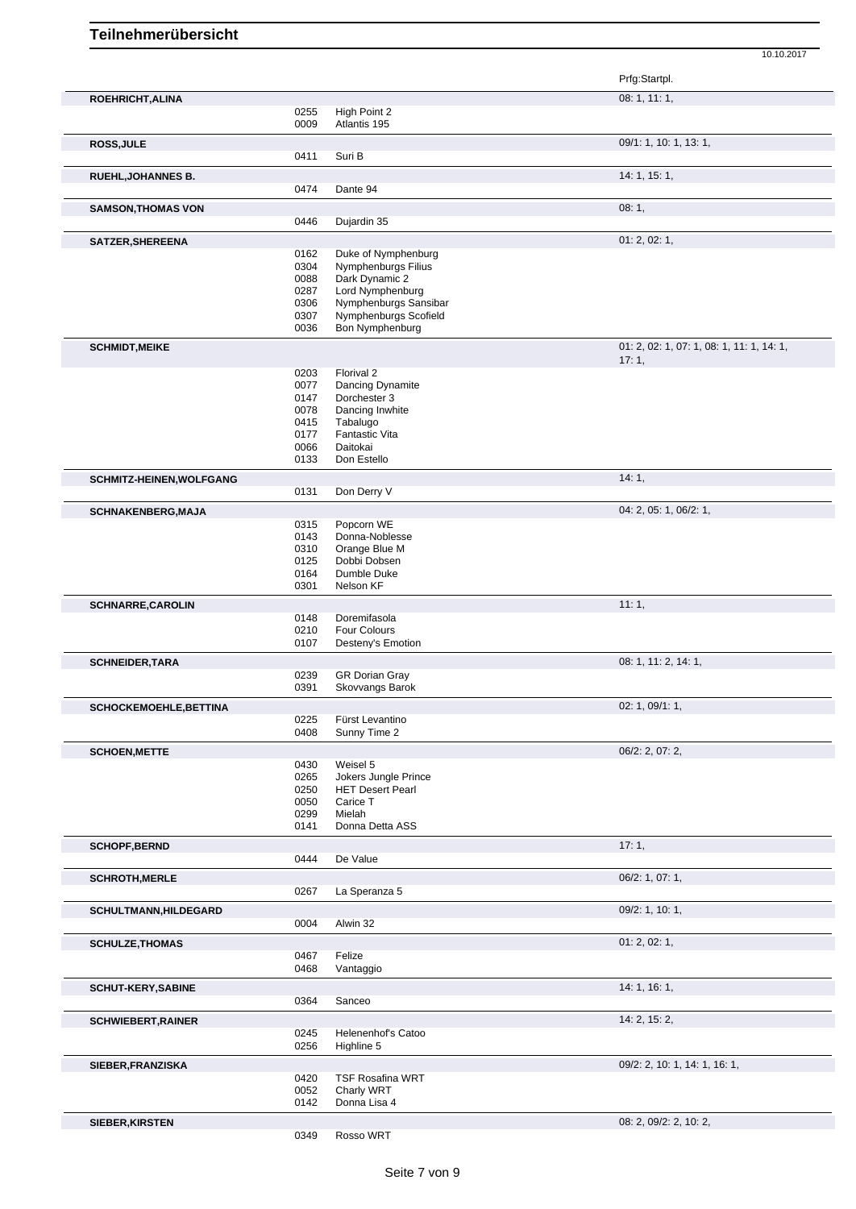Prfg:Startpl. **ROEHRICHT,ALINA** 08: 1, 11: 1, 0255 High Point 2<br>0009 Atlantis 195 Atlantis 195 **ROSS,JULE** 09/1: 1, 10: 1, 13: 1, 0411 Suri B **RUEHL,JOHANNES B.** 14: 1, 15: 1, Dante 94 **SAMSON, THOMAS VON** 0446 Dujardin 35 Dujardin 35 **SATZER, SHEREENA** 01: 2, 02: 1, 02: 1, 02: 1, 02: 1, 02: 1, 02: 1, 02: 1, 02: 1, 02: 1, 02: 1, 02: 1, 02: 1, 02: 1, 0162 Duke of Nymphenburg<br>0304 Nymphenburgs Filius 0304 Nymphenburgs Filius<br>0088 Dark Dynamic 2 0088 Dark Dynamic 2<br>0287 Lord Nymphenbi 0287 Lord Nymphenburg<br>0306 Nymphenburgs San 0306 Nymphenburgs Sansibar<br>0307 Nymphenburgs Scofield Nymphenburgs Scofield 0036 Bon Nymphenburg **SCHMIDT,MEIKE** 01: 2, 02: 1, 07: 1, 08: 1, 11: 1, 14: 1, 17: 1, 0203 Florival 2 0077 Dancing Dynamite<br>0147 Dorchester 3 0147 Dorchester 3<br>0078 Dancing Inwh Dancing Inwhite 0415 Tabalugo<br>0177 Fantastic 0177 Fantastic Vita<br>0066 Daitokai 0066 Daitokai<br>0133 Don Este Don Estello **SCHMITZ-HEINEN, WOLFGANG** 14: 1, 20131 Don Derry V Don Derry V **SCHNAKENBERG, MAJA** 0315 Popcorn WE 04: 2, 05: 1, 06/2: 1, 0315 Popcorn WE<br>0143 Donna-Noble 0143 Donna-Noblesse<br>0310 Orange Blue M 0310 Orange Blue M<br>0125 Dobbi Dobsen Dobbi Dobsen 0164 Dumble Duke<br>0301 Nelson KF Nelson KF **SCHNARRE,CAROLIN** 11: 1, Doremifasola 0210 Four Colours 0107 Desteny's Emotion **SCHNEIDER,TARA** 08: 1, 11: 2, 14: 1, 0239 GR Dorian Gray 0391 Skovvangs Barok **SCHOCKEMOEHLE,BETTINA** 02: 1, 09/1: 1, 0225 Fürst Levantino 0408 Sunny Time 2 **SCHOEN, METTE** 06/2: 2, 07: 2, 07: 2, 0430 Weisel 5 0430 Weisel 5<br>0265 Jokers Ju 0265 Jokers Jungle Prince<br>0250 HET Desert Pearl 0250 HET Desert Pearl<br>0050 Carice T 0050 Carice T<br>0299 Mielah 0299 Mielah<br>0141 Donna Donna Detta ASS **SCHOPF,BERND** 17: 1, De Value **SCHROTH, MERLE** 06/2: 1, 07: 1, 0267 La Speranza 5 **SCHULTMANN,HILDEGARD** 09/2: 1, 10: 1, 0004 Alwin 32 **SCHULZE,THOMAS** 01: 2, 02: 1, 0467 Felize<br>0468 Vanta Vantaggio **SCHUT-KERY, SABINE** 20064 **Sanceo** 20064 **Sanceo** 20064 **14: 1, 16: 1,** Sanceo **SCHWIEBERT,RAINER 14: 2, 15: 2, 15: 2, 15: 2, 15: 2, 15: 2, 15: 2, 15: 2, 15: 2, 15: 2, 15: 2, 15: 2, 15: 2, 15: 2, 15: 2, 15: 2, 15: 2, 15: 2, 15: 2, 15: 2, 15: 2, 15: 2, 15: 2, 15: 2, 15: 2, 15: 2, 15: 2, 15: 2, 15: 2,** 0245 Helenenhof's Catoo 0256 Highline 5 **SIEBER,FRANZISKA** 09/2: 2, 10: 1, 14: 1, 16: 1, TSF Rosafina WRT 0052 Charly WRT 0142 Donna Lisa 4

10.10.2017

**SIEBER,KIRSTEN** 08: 2, 09/2: 2, 10: 2,

0349 Rosso WRT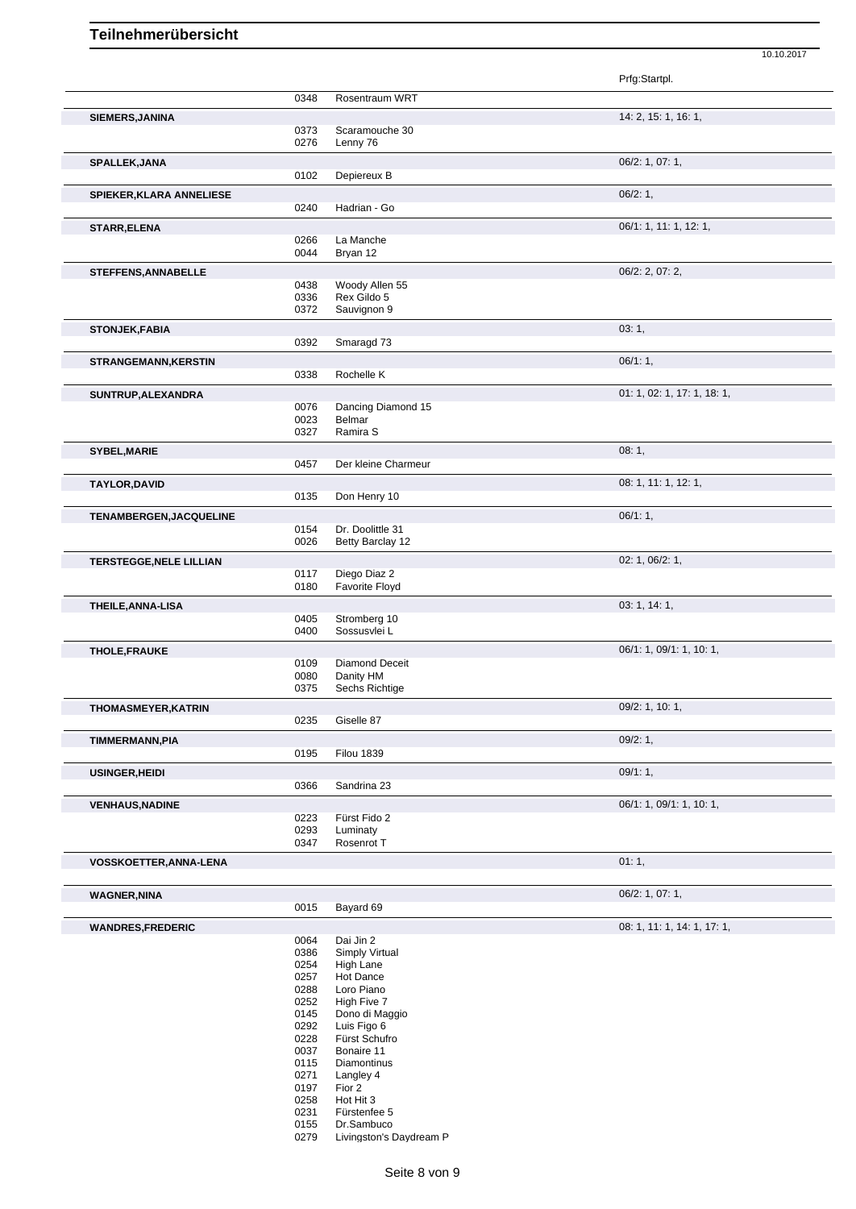Prfg:Startpl. 0348 Rosentraum WRT **SIEMERS,JANINA** 14: 2, 15: 1, 16: 1, 0373 Scaramouche 30 0276 Lenny 76 **SPALLEK,JANA** 06/2: 1, 07: 1, Depiereux B **SPIEKER,KLARA ANNELIESE** 0240 Hadrian - Go 0200 Hadrian - Go 06/2: 1, Hadrian - Go **STARR,ELENA** 06/1: 1, 11: 1, 12: 1, 0266 La Manche 0044 Bryan 12 **STEFFENS,ANNABELLE** 0438 Woody Allen 55 06/2: 2, 07: 2, 07: 2, 07: 2, 07: 2, 07: 2, 07: 2, 07: 2, 07: 2, 07: 2, 07: 2, 07: 2, 07: 2, 07: 2, 07: 2, 07: 2, 07: 2, 07: 2, 07: 2, 07: 2, 07: 2, 07: 2, 07: 2, 07: 2, 07: 2, 07: Woody Allen 55 0336 Rex Gildo 5<br>0372 Sauvignon 9 Sauvignon 9 **STONJEK,FABIA** 03: 1, Smaragd 73 **STRANGEMANN, KERSTIN** 0338 Rochelle K<br>
06/1: 1, Rochelle K **SUNTRUP, ALEXANDRA** 0076 Dancing Diamond 15 0076 0.000 0076 Dancing Diamond 15 0076 Dancing Diamond 15<br>0023 Belmar 0023 Belmar<br>0327 Ramira Ramira S **SYBEL, MARIE** 08: 1, 08: 1, 0457 Der kleine Charmeur and the state of the state of the state of the state of the state of the state of the state of the state of the state of the state of the state of the state of the stat Der kleine Charmeur **TAYLOR,DAVID** 08: 1, 11: 1, 12: 1, 09: 1, 11: 1, 12: 1, 09: 1, 11: 1, 12: 1, 09: 1, 11: 1, 12: 1, Don Henry 10 **TENAMBERGEN, JACQUELINE** 06/1: 1, 0154 Dr. Doolittle 31<br>0026 Betty Barclay 1 Betty Barclay 12 **TERSTEGGE,NELE LILLIAN** 02: 1, 06/2: 1, 0117 Diego Diaz 2 0180 Favorite Floyd **THEILE,ANNA-LISA** 03: 1, 14: 1, 0405 Stromberg 10<br>0400 Sossusvlei L Sossusvlei L **THOLE,FRAUKE** 06/1: 1, 10: 1, 09/1: 1, 10: 1, 09/1: 1, 10: 1, 09/1: 1, 10: 1, 09/1: 1, 10: 1, 09/1: 1, 10: 1, 09 0109 Diamond Deceit<br>0080 Danity HM 0080 Danity HM<br>0375 Sechs Rich Sechs Richtige **THOMASMEYER, KATRIN** 0235 Giselle 87 Casset 2008/2: 1, 10: 1, Giselle 87 **TIMMERMANN,PIA** 09/2: 1,<br>
09/2: 1,<br>
0195 Filou 1839 **Filou 1839 USINGER, HEIDI** 09/1: 1, 0366 Sandrina 23 Sandrina 23 **VENHAUS,NADINE** 06/1: 1, 09/1: 1, 10: 1, 0223 Fürst Fido 2<br>0293 Luminaty 0293 Luminaty<br>0347 Rosenrot Rosenrot T **VOSSKOETTER, ANNA-LENA** 01: 1, **WAGNER,NINA** 06/2: 1, 07: 1,<br>
06/2: 1, 07: 1,<br>
07: 06/2: 1, 07: 1, Bayard 69 **WANDRES,FREDERIC** 08: 1, 11: 1, 14: 1, 17: 1,

10.10.2017

0064 Dai Jin 2<br>0386 Simply V 0386 Simply Virtual<br>0254 High Lane 0254 High Lane<br>0257 Hot Dance 0257 Hot Dance<br>0288 Loro Piano Loro Piano 0252 High Five 7<br>0145 Dono di Ma Dono di Maggio 0292 Luis Figo 6 0228 Fürst Schufro<br>0037 Bonaire 11 0037 Bonaire 11<br>0115 Diamontinu 0115 Diamontinus<br>0271 Langley 4 0271 Langley 4<br>0197 Fior 2 0197 Fior 2 0258 Hot Hit 3<br>0231 Fürstenfe 0231 Fürstenfee 5<br>0155 Dr.Sambuco

0155 Dr.Sambuco<br>0279 Livingston's I Livingston's Daydream P